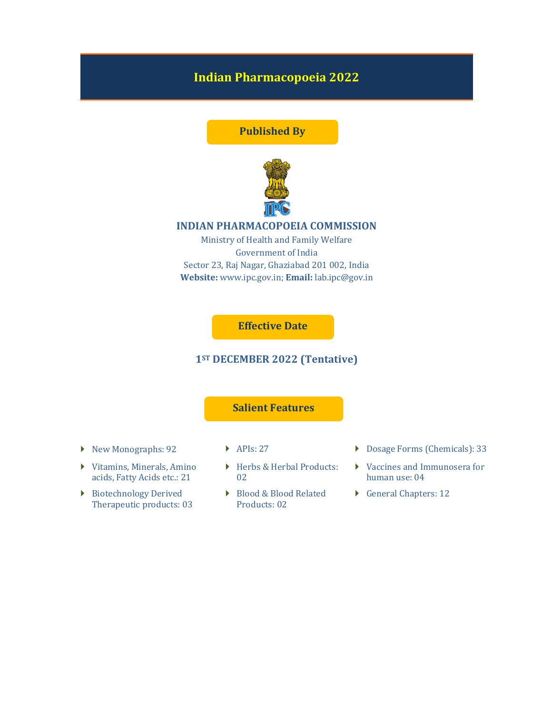# Indian Pharmacopoeia 2022

## Published By



## INDIAN PHARMACOPOEIA COMMISSION

Ministry of Health and Family Welfare Government of India Sector 23, Raj Nagar, Ghaziabad 201 002, India Website: www.ipc.gov.in; Email: lab.ipc@gov.in

## Effective Date

## 1ST DECEMBER 2022 (Tentative)

## Salient Features

- 
- Vitamins, Minerals, Amino acids, Fatty Acids etc.: 21
- Biotechnology Derived Therapeutic products: 03
- 
- ▶ Herbs & Herbal Products: 02
- ▶ Blood & Blood Related Products: 02
- ◆ New Monographs: 92 → APIs: 27 → Dosage Forms (Chemicals): 33
	- Vaccines and Immunosera for human use: 04
	- General Chapters: 12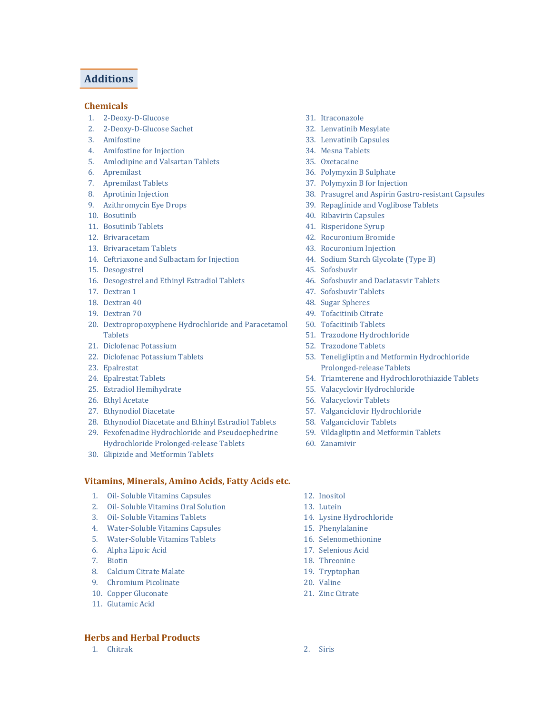## Additions

#### Chemicals

- 1. 2-Deoxy-D-Glucose
- 2. 2-Deoxy-D-Glucose Sachet
- 3. Amifostine
- 4. Amifostine for Injection
- 5. Amlodipine and Valsartan Tablets
- 6. Apremilast
- 7. Apremilast Tablets
- 8. Aprotinin Injection
- 9. Azithromycin Eye Drops
- 10. Bosutinib
- 11. Bosutinib Tablets
- 12. Brivaracetam
- 13. Brivaracetam Tablets
- 14. Ceftriaxone and Sulbactam for Injection
- 15. Desogestrel
- 16. Desogestrel and Ethinyl Estradiol Tablets
- 17. Dextran 1
- 18. Dextran 40
- 19. Dextran 70
- 20. Dextropropoxyphene Hydrochloride and Paracetamol Tablets
- 21. Diclofenac Potassium
- 22. Diclofenac Potassium Tablets
- 23. Epalrestat
- 24. Epalrestat Tablets
- 25. Estradiol Hemihydrate
- 26. Ethyl Acetate
- 27. Ethynodiol Diacetate
- 28. Ethynodiol Diacetate and Ethinyl Estradiol Tablets
- 29. Fexofenadine Hydrochloride and Pseudoephedrine Hydrochloride Prolonged-release Tablets
- 30. Glipizide and Metformin Tablets

## Vitamins, Minerals, Amino Acids, Fatty Acids etc.

- 1. Oil- Soluble Vitamins Capsules
- 2. Oil- Soluble Vitamins Oral Solution
- 3. Oil- Soluble Vitamins Tablets
- 4. Water-Soluble Vitamins Capsules
- 5. Water-Soluble Vitamins Tablets
- 6. Alpha Lipoic Acid
- 7. Biotin
- 8. Calcium Citrate Malate
- 9. Chromium Picolinate
- 10. Copper Gluconate
- 11. Glutamic Acid

## Herbs and Herbal Products

1. Chitrak 2. Siris

- 31. Itraconazole
- 32. Lenvatinib Mesylate
- 33. Lenvatinib Capsules
- 34. Mesna Tablets
- 35. Oxetacaine
- 36. Polymyxin B Sulphate
- 37. Polymyxin B for Injection
- 38. Prasugrel and Aspirin Gastro-resistant Capsules
- 39. Repaglinide and Voglibose Tablets
- 40. Ribavirin Capsules
- 41. Risperidone Syrup
- 42. Rocuronium Bromide
- 43. Rocuronium Injection
- 44. Sodium Starch Glycolate (Type B)
- 45. Sofosbuvir
- 46. Sofosbuvir and Daclatasvir Tablets
- 47. Sofosbuvir Tablets
- 48. Sugar Spheres
- 49. Tofacitinib Citrate
- 50. Tofacitinib Tablets
- 51. Trazodone Hydrochloride
- 52. Trazodone Tablets
- 53. Teneligliptin and Metformin Hydrochloride Prolonged-release Tablets
- 54. Triamterene and Hydrochlorothiazide Tablets
- 55. Valacyclovir Hydrochloride
- 56. Valacyclovir Tablets
- 57. Valganciclovir Hydrochloride
- 58. Valganciclovir Tablets
- 59. Vildagliptin and Metformin Tablets
- 60. Zanamivir
- 12. Inositol
- 13. Lutein
- 14. Lysine Hydrochloride
- 15. Phenylalanine
- 16. Selenomethionine
- 17. Selenious Acid
- 18. Threonine
- 19. Tryptophan
- 20. Valine
- 21. Zinc Citrate
-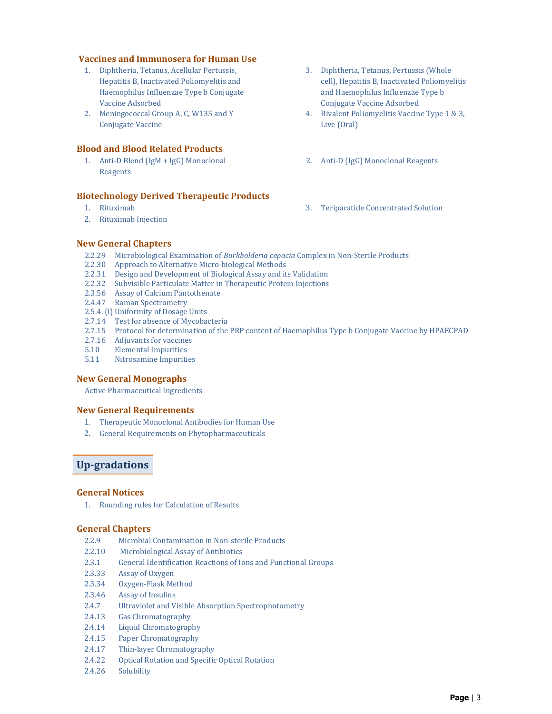### Vaccines and Immunosera for Human Use

- 1. Diphtheria, Tetanus, Acellular Pertussis, Hepatitis B, Inactivated Poliomyelitis and Haemophilus Influenzae Type b Conjugate Vaccine Adsorbed
- 2. Meningococcal Group A, C, W135 and Y Conjugate Vaccine

## Blood and Blood Related Products

1. Anti-D Blend (IgM + IgG) Monoclonal Reagents

## Biotechnology Derived Therapeutic Products

- 1. Rituximab
- 2. Rituximab Injection
- 3. Diphtheria, Tetanus, Pertussis (Whole cell), Hepatitis B, Inactivated Poliomyelitis and Haemophilus Influenzae Type b Conjugate Vaccine Adsorbed
- 4. Bivalent Poliomyelitis Vaccine Type 1 & 3, Live (Oral)
- 2. Anti-D (IgG) Monoclonal Reagents
- 3. Teriparatide Concentrated Solution

## New General Chapters

- 2.2.29 Microbiological Examination of Burkholderia cepacia Complex in Non-Sterile Products
- 2.2.30 Approach to Alternative Micro-biological Methods
- 2.2.31 Design and Development of Biological Assay and its Validation
- 2.2.32 Subvisible Particulate Matter in Therapeutic Protein Injections
- 2.3.56 Assay of Calcium Pantothenate
- 2.4.47 Raman Spectrometry
- 2.5.4. (i) Uniformity of Dosage Units
- 2.7.14 Test for absence of Mycobacteria
- 2.7.15 Protocol for determination of the PRP content of Haemophilus Type b Conjugate Vaccine by HPAECPAD
- 2.7.16 Adjuvants for vaccines
- 5.10 Elemental Impurities
- 5.11 Nitrosamine Impurities

#### New General Monographs

Active Pharmaceutical Ingredients

#### New General Requirements

- 1. Therapeutic Monoclonal Antibodies for Human Use
- 2. General Requirements on Phytopharmaceuticals

## Up-gradations

#### General Notices

1. Rounding rules for Calculation of Results

#### General Chapters

- 2.2.9 Microbial Contamination in Non-sterile Products
- 2.2.10 Microbiological Assay of Antibiotics
- 2.3.1 General Identification Reactions of Ions and Functional Groups
- 2.3.33 Assay of Oxygen
- 2.3.34 Oxygen-Flask Method
- 2.3.46 Assay of Insulins
- 2.4.7 Ultraviolet and Visible Absorption Spectrophotometry
- 2.4.13 Gas Chromatography
- 2.4.14 Liquid Chromatography
- 2.4.15 Paper Chromatography
- 2.4.17 Thin-layer Chromatography
- 2.4.22 Optical Rotation and Specific Optical Rotation
- 2.4.26 Solubility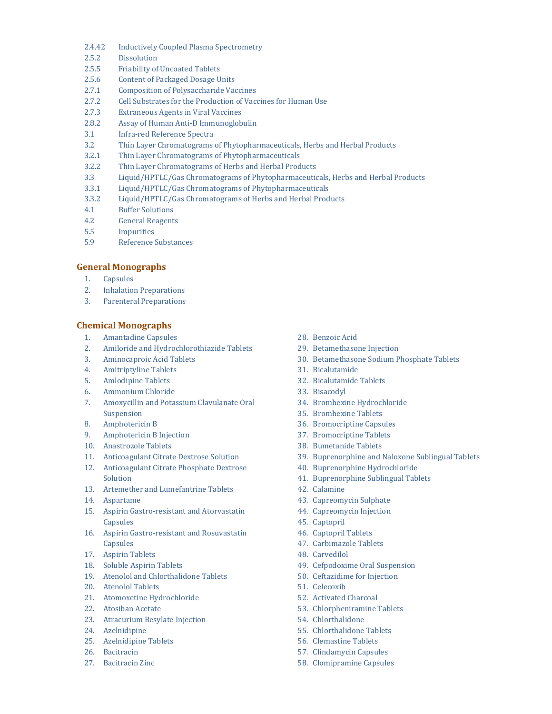- 2.4.42 Inductively Coupled Plasma Spectrometry
- 2.5.2 Dissolution
- 2.5.5 Friability of Uncoated Tablets
- 2.5.6 Content of Packaged Dosage Units
- 2.7.1 Composition of Polysaccharide Vaccines
- 2.7.2 Cell Substrates for the Production of Vaccines for Human Use
- 2.7.3 Extraneous Agents in Viral Vaccines
- 2.8.2 Assay of Human Anti-D Immunoglobulin
- 3.1 Infra-red Reference Spectra
- 3.2 Thin Layer Chromatograms of Phytopharmaceuticals, Herbs and Herbal Products
- 3.2.1 Thin Layer Chromatograms of Phytopharmaceuticals
- 3.2.2 Thin Layer Chromatograms of Herbs and Herbal Products
- 3.3 Liquid/HPTLC/Gas Chromatograms of Phytopharmaceuticals, Herbs and Herbal Products
- 3.3.1 Liquid/HPTLC/Gas Chromatograms of Phytopharmaceuticals
- 3.3.2 Liquid/HPTLC/Gas Chromatograms of Herbs and Herbal Products
- 4.1 Buffer Solutions
- 4.2 General Reagents
- 5.5 Impurities
- 5.9 Reference Substances

#### General Monographs

- 1. Capsules
- 2. Inhalation Preparations
- 3. Parenteral Preparations

#### Chemical Monographs

- 1. Amantadine Capsules
- 2. Amiloride and Hydrochlorothiazide Tablets
- 3. Aminocaproic Acid Tablets
- 4. Amitriptyline Tablets
- 5. Amlodipine Tablets
- 6. Ammonium Chloride
- 7. Amoxycillin and Potassium Clavulanate Oral Suspension
- 8. Amphotericin B
- 9. Amphotericin B Injection
- 10. Anastrozole Tablets
- 11. Anticoagulant Citrate Dextrose Solution
- 12. Anticoagulant Citrate Phosphate Dextrose Solution
- 13. Artemether and Lumefantrine Tablets
- 14. Aspartame
- 15. Aspirin Gastro-resistant and Atorvastatin Capsules
- 16. Aspirin Gastro-resistant and Rosuvastatin Capsules
- 17. Aspirin Tablets
- 18. Soluble Aspirin Tablets
- 19. Atenolol and Chlorthalidone Tablets
- 20. Atenolol Tablets
- 21. Atomoxetine Hydrochloride
- 22. Atosiban Acetate
- 23. Atracurium Besylate Injection
- 24. Azelnidipine
- 25. Azelnidipine Tablets
- 26. Bacitracin
- 27. Bacitracin Zinc
- 28. Benzoic Acid
- 29. Betamethasone Injection
- 30. Betamethasone Sodium Phosphate Tablets
- 31. Bicalutamide
- 32. Bicalutamide Tablets
- 33. Bisacodyl
- 34. Bromhexine Hydrochloride
- 35. Bromhexine Tablets
- 36. Bromocriptine Capsules
- 37. Bromocriptine Tablets
- 38. Bumetanide Tablets
- 39. Buprenorphine and Naloxone Sublingual Tablets
- 40. Buprenorphine Hydrochloride
- 41. Buprenorphine Sublingual Tablets
- 42. Calamine
- 43. Capreomycin Sulphate
- 44. Capreomycin Injection
- 45. Captopril
- 46. Captopril Tablets
- 47. Carbimazole Tablets
- 48. Carvedilol
- 49. Cefpodoxime Oral Suspension
- 50. Ceftazidime for Injection
- 51. Celecoxib
- 52. Activated Charcoal
- 53. Chlorpheniramine Tablets
- 54. Chlorthalidone
- 55. Chlorthalidone Tablets
- 56. Clemastine Tablets
- 57. Clindamycin Capsules
- 58. Clomipramine Capsules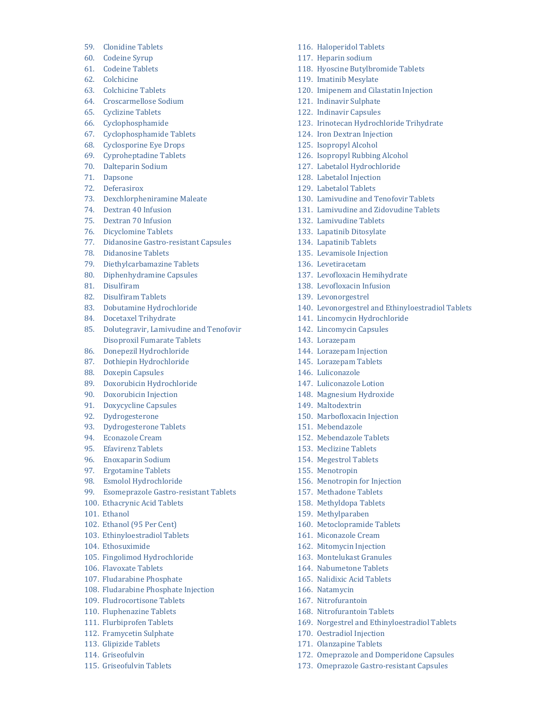- 59. Clonidine Tablets
- 60. Codeine Syrup
- 61. Codeine Tablets
- 62. Colchicine
- 63. Colchicine Tablets
- 64. Croscarmellose Sodium
- 65. Cyclizine Tablets
- 66. Cyclophosphamide
- 67. Cyclophosphamide Tablets
- 68. Cyclosporine Eye Drops
- 69. Cyproheptadine Tablets
- 70. Dalteparin Sodium
- 71. Dapsone
- 72. Deferasirox
- 73. Dexchlorpheniramine Maleate
- 74. Dextran 40 Infusion
- 75. Dextran 70 Infusion
- 76. Dicyclomine Tablets
- 77. Didanosine Gastro-resistant Capsules
- 78. Didanosine Tablets
- 79. Diethylcarbamazine Tablets
- 80. Diphenhydramine Capsules
- 81. Disulfiram
- 82. Disulfiram Tablets
- 83. Dobutamine Hydrochloride
- 84. Docetaxel Trihydrate
- 85. Dolutegravir, Lamivudine and Tenofovir Disoproxil Fumarate Tablets
- 86. Donepezil Hydrochloride
- 87. Dothiepin Hydrochloride
- 88. Doxepin Capsules
- 89. Doxorubicin Hydrochloride
- 90. Doxorubicin Injection
- 91. Doxycycline Capsules
- 92. Dydrogesterone
- 93. Dydrogesterone Tablets
- 94. Econazole Cream
- 95. Efavirenz Tablets
- 96. Enoxaparin Sodium
- 97. Ergotamine Tablets
- 98. Esmolol Hydrochloride
- 99. Esomeprazole Gastro-resistant Tablets
- 100. Ethacrynic Acid Tablets
- 101. Ethanol
- 102. Ethanol (95 Per Cent)
- 103. Ethinyloestradiol Tablets
- 104. Ethosuximide
- 105. Fingolimod Hydrochloride
- 106. Flavoxate Tablets
- 107. Fludarabine Phosphate
- 108. Fludarabine Phosphate Injection
- 109. Fludrocortisone Tablets
- 110. Fluphenazine Tablets
- 111. Flurbiprofen Tablets
- 112. Framycetin Sulphate
- 113. Glipizide Tablets
- 114. Griseofulvin
- 115. Griseofulvin Tablets
- 116. Haloperidol Tablets
- 117. Heparin sodium
- 118. Hyoscine Butylbromide Tablets
- 119. Imatinib Mesylate
- 120. Imipenem and Cilastatin Injection
- 121. Indinavir Sulphate
- 122. Indinavir Capsules
- 123. Irinotecan Hydrochloride Trihydrate
- 124. Iron Dextran Injection
- 125. Isopropyl Alcohol
- 126. Isopropyl Rubbing Alcohol
- 127. Labetalol Hydrochloride
- 128. Labetalol Injection
- 129. Labetalol Tablets
- 130. Lamivudine and Tenofovir Tablets
- 131. Lamivudine and Zidovudine Tablets
- 132. Lamivudine Tablets
- 133. Lapatinib Ditosylate
- 134. Lapatinib Tablets
- 135. Levamisole Injection
- 136. Levetiracetam
- 137. Levofloxacin Hemihydrate
- 138. Levofloxacin Infusion
- 139. Levonorgestrel
- 140. Levonorgestrel and Ethinyloestradiol Tablets
- 141. Lincomycin Hydrochloride
- 142. Lincomycin Capsules
- 143. Lorazepam
- 144. Lorazepam Injection
- 145. Lorazepam Tablets
- 146. Luliconazole
- 147. Luliconazole Lotion
- 148. Magnesium Hydroxide
- 149. Maltodextrin
- 150. Marbofloxacin Injection
- 151. Mebendazole
- 152. Mebendazole Tablets
- 153. Meclizine Tablets
- 154. Megestrol Tablets
- 155. Menotropin

166. Natamycin 167. Nitrofurantoin 168. Nitrofurantoin Tablets

170. Oestradiol Injection 171. Olanzapine Tablets

156. Menotropin for Injection

160. Metoclopramide Tablets 161. Miconazole Cream 162. Mitomycin Injection 163. Montelukast Granules 164. Nabumetone Tablets 165. Nalidixic Acid Tablets

169. Norgestrel and Ethinyloestradiol Tablets

172. Omeprazole and Domperidone Capsules 173. Omeprazole Gastro-resistant Capsules

- 157. Methadone Tablets
- 158. Methyldopa Tablets 159. Methylparaben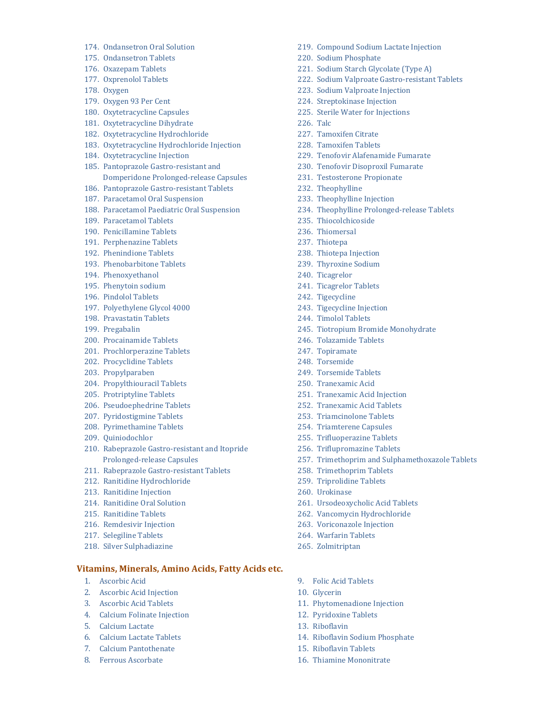- 174. Ondansetron Oral Solution
- 175. Ondansetron Tablets
- 176. Oxazepam Tablets
- 177. Oxprenolol Tablets
- 178. Oxygen
- 179. Oxygen 93 Per Cent
- 180. Oxytetracycline Capsules
- 181. Oxytetracycline Dihydrate
- 182. Oxytetracycline Hydrochloride
- 183. Oxytetracycline Hydrochloride Injection
- 184. Oxytetracycline Injection
- 185. Pantoprazole Gastro-resistant and Domperidone Prolonged-release Capsules
- 186. Pantoprazole Gastro-resistant Tablets
- 187. Paracetamol Oral Suspension
- 188. Paracetamol Paediatric Oral Suspension
- 189. Paracetamol Tablets
- 190. Penicillamine Tablets
- 191. Perphenazine Tablets
- 192. Phenindione Tablets
- 193. Phenobarbitone Tablets
- 194. Phenoxyethanol
- 195. Phenytoin sodium
- 196. Pindolol Tablets
- 197. Polyethylene Glycol 4000
- 198. Pravastatin Tablets
- 199. Pregabalin
- 200. Procainamide Tablets
- 201. Prochlorperazine Tablets
- 202. Procyclidine Tablets
- 203. Propylparaben
- 204. Propylthiouracil Tablets
- 205. Protriptyline Tablets
- 206. Pseudoephedrine Tablets
- 207. Pyridostigmine Tablets
- 208. Pyrimethamine Tablets
- 209. Quiniodochlor
- 210. Rabeprazole Gastro-resistant and Itopride Prolonged-release Capsules
- 211. Rabeprazole Gastro-resistant Tablets
- 212. Ranitidine Hydrochloride
- 213. Ranitidine Injection
- 214. Ranitidine Oral Solution
- 215. Ranitidine Tablets
- 216. Remdesivir Injection
- 217. Selegiline Tablets
- 218. Silver Sulphadiazine

#### Vitamins, Minerals, Amino Acids, Fatty Acids etc.

- 1. Ascorbic Acid
- 2. Ascorbic Acid Injection
- 3. Ascorbic Acid Tablets
- 4. Calcium Folinate Injection
- 5. Calcium Lactate
- 6. Calcium Lactate Tablets
- 7. Calcium Pantothenate
- 8. Ferrous Ascorbate
- 219. Compound Sodium Lactate Injection
- 220. Sodium Phosphate
- 221. Sodium Starch Glycolate (Type A)
- 222. Sodium Valproate Gastro-resistant Tablets
- 223. Sodium Valproate Injection
- 224. Streptokinase Injection
- 225. Sterile Water for Injections
- 226. Talc
- 227. Tamoxifen Citrate
- 228. Tamoxifen Tablets
- 229. Tenofovir Alafenamide Fumarate
- 230. Tenofovir Disoproxil Fumarate
- 231. Testosterone Propionate
- 232. Theophylline
- 233. Theophylline Injection
- 234. Theophylline Prolonged-release Tablets
- 235. Thiocolchicoside
- 236. Thiomersal
- 237. Thiotepa
- 238. Thiotepa Injection
- 239. Thyroxine Sodium
- 240. Ticagrelor
- 241. Ticagrelor Tablets
- 242. Tigecycline
- 243. Tigecycline Injection
- 244. Timolol Tablets
- 245. Tiotropium Bromide Monohydrate
- 246. Tolazamide Tablets
- 247. Topiramate
- 248. Torsemide
- 249. Torsemide Tablets
- 250. Tranexamic Acid
- 251. Tranexamic Acid Injection
- 252. Tranexamic Acid Tablets
- 253. Triamcinolone Tablets
- 254. Triamterene Capsules
- 255. Trifluoperazine Tablets
- 256. Triflupromazine Tablets
- 257. Trimethoprim and Sulphamethoxazole Tablets
- 258. Trimethoprim Tablets
- 259. Triprolidine Tablets
- 260. Urokinase
- 261. Ursodeoxycholic Acid Tablets
- 262. Vancomycin Hydrochloride
- 263. Voriconazole Injection
- 264. Warfarin Tablets

9. Folic Acid Tablets

15. Riboflavin Tablets 16. Thiamine Mononitrate

11. Phytomenadione Injection 12. Pyridoxine Tablets

14. Riboflavin Sodium Phosphate

10. Glycerin

13. Riboflavin

265. Zolmitriptan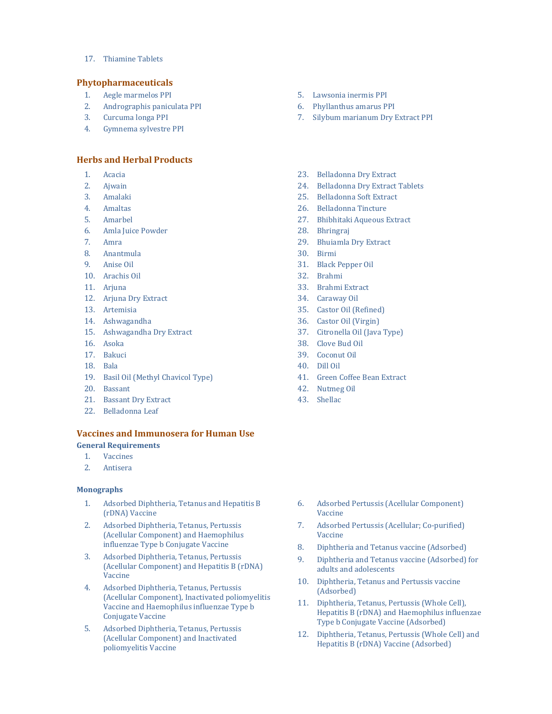17. Thiamine Tablets

#### Phytopharmaceuticals

- 1. Aegle marmelos PPI
- 2. Andrographis paniculata PPI
- 3. Curcuma longa PPI
- 4. Gymnema sylvestre PPI

### Herbs and Herbal Products

- 1. Acacia
- 2. Ajwain
- 3. Amalaki
- 4. Amaltas
- 5. Amarbel
- 6. Amla Juice Powder
- 7. Amra
- 8. Anantmula
- 9. Anise Oil
- 10. Arachis Oil
- 11. Arjuna
- 12. Arjuna Dry Extract
- 13. Artemisia
- 14. Ashwagandha
- 15. Ashwagandha Dry Extract
- 16. Asoka
- 17. Bakuci
- 18. Bala
- 19. Basil Oil (Methyl Chavicol Type)
- 20. Bassant
- 21. Bassant Dry Extract
- 22. Belladonna Leaf

### Vaccines and Immunosera for Human Use General Requirements

- 1. Vaccines
- 2. Antisera

#### **Monographs**

- 1. Adsorbed Diphtheria, Tetanus and Hepatitis B (rDNA) Vaccine
- 2. Adsorbed Diphtheria, Tetanus, Pertussis (Acellular Component) and Haemophilus influenzae Type b Conjugate Vaccine
- 3. Adsorbed Diphtheria, Tetanus, Pertussis (Acellular Component) and Hepatitis B (rDNA) Vaccine
- 4. Adsorbed Diphtheria, Tetanus, Pertussis (Acellular Component), Inactivated poliomyelitis Vaccine and Haemophilus influenzae Type b Conjugate Vaccine
- 5. Adsorbed Diphtheria, Tetanus, Pertussis (Acellular Component) and Inactivated poliomyelitis Vaccine
- 5. Lawsonia inermis PPI
- 6. Phyllanthus amarus PPI
- 7. Silybum marianum Dry Extract PPI
- 23. Belladonna Dry Extract
- 24. Belladonna Dry Extract Tablets
- 25. Belladonna Soft Extract
- 26. Belladonna Tincture
- 27. Bhibhitaki Aqueous Extract
- 28. Bhringraj
- 29. Bhuiamla Dry Extract
- 30. Birmi
- 31. Black Pepper Oil
- 32. Brahmi
- 33. Brahmi Extract
- 34. Caraway Oil
- 35. Castor Oil (Refined)
- 36. Castor Oil (Virgin)
- 37. Citronella Oil (Java Type)
- 38. Clove Bud Oil
- 39. Coconut Oil
- 40. Dill Oil
- 41. Green Coffee Bean Extract
- 42. Nutmeg Oil
- 43. Shellac

- 6. Adsorbed Pertussis (Acellular Component) Vaccine
- 7. Adsorbed Pertussis (Acellular; Co-purified) Vaccine
- 8. Diphtheria and Tetanus vaccine (Adsorbed)
- 9. Diphtheria and Tetanus vaccine (Adsorbed) for adults and adolescents
- 10. Diphtheria, Tetanus and Pertussis vaccine (Adsorbed)
- 11. Diphtheria, Tetanus, Pertussis (Whole Cell), Hepatitis B (rDNA) and Haemophilus influenzae Type b Conjugate Vaccine (Adsorbed)
- 12. Diphtheria, Tetanus, Pertussis (Whole Cell) and Hepatitis B (rDNA) Vaccine (Adsorbed)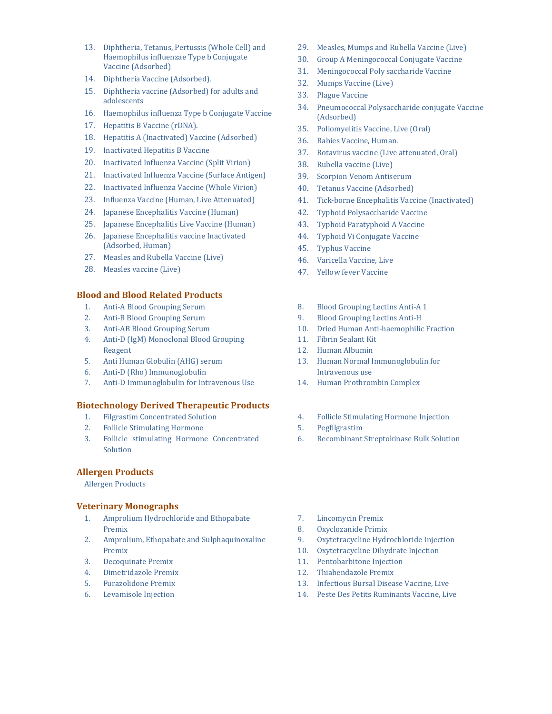- 13. Diphtheria, Tetanus, Pertussis (Whole Cell) and Haemophilus influenzae Type b Conjugate Vaccine (Adsorbed)
- 14. Diphtheria Vaccine (Adsorbed).
- 15. Diphtheria vaccine (Adsorbed) for adults and adolescents
- 16. Haemophilus influenza Type b Conjugate Vaccine
- 17. Hepatitis B Vaccine (rDNA).
- 18. Hepatitis A (Inactivated) Vaccine (Adsorbed)
- 19. Inactivated Hepatitis B Vaccine
- 20. Inactivated Influenza Vaccine (Split Virion)
- 21. Inactivated Influenza Vaccine (Surface Antigen)
- 22. Inactivated Influenza Vaccine (Whole Virion)
- 23. Influenza Vaccine (Human, Live Attenuated)
- 24. Japanese Encephalitis Vaccine (Human)
- 25. Japanese Encephalitis Live Vaccine (Human)
- 26. Japanese Encephalitis vaccine Inactivated (Adsorbed, Human)
- 27. Measles and Rubella Vaccine (Live)
- 28. Measles vaccine (Live)

#### Blood and Blood Related Products

- 1. Anti-A Blood Grouping Serum
- 2. Anti-B Blood Grouping Serum
- 3. Anti-AB Blood Grouping Serum
- 4. Anti-D (IgM) Monoclonal Blood Grouping Reagent
- 5. Anti Human Globulin (AHG) serum
- 6. Anti-D (Rho) Immunoglobulin
- 7. Anti-D Immunoglobulin for Intravenous Use

### Biotechnology Derived Therapeutic Products

- 1. Filgrastim Concentrated Solution
- 2. Follicle Stimulating Hormone
- 3. Follicle stimulating Hormone Concentrated Solution

## Allergen Products

Allergen Products

#### Veterinary Monographs

- 1. Amprolium Hydrochloride and Ethopabate Premix
- 2. Amprolium, Ethopabate and Sulphaquinoxaline Premix
- 3. Decoquinate Premix
- 4. Dimetridazole Premix
- 5. Furazolidone Premix
- 6. Levamisole Injection
- 29. Measles, Mumps and Rubella Vaccine (Live)
- 30. Group A Meningococcal Conjugate Vaccine
- 31. Meningococcal Poly saccharide Vaccine
- 32. Mumps Vaccine (Live)
- 33. Plague Vaccine
- 34. Pneumococcal Polysaccharide conjugate Vaccine (Adsorbed)
- 35. Poliomyelitis Vaccine, Live (Oral)
- 36. Rabies Vaccine, Human.
- 37. Rotavirus vaccine (Live attenuated, Oral)
- 38. Rubella vaccine (Live)
- 39. Scorpion Venom Antiserum
- 40. Tetanus Vaccine (Adsorbed)
- 41. Tick-borne Encephalitis Vaccine (Inactivated)
- 42. Typhoid Polysaccharide Vaccine
- 43. Typhoid Paratyphoid A Vaccine
- 44. Typhoid Vi Conjugate Vaccine
- 45. Typhus Vaccine
- 46. Varicella Vaccine, Live
- 47. Yellow fever Vaccine
- 8. Blood Grouping Lectins Anti-A 1
- 9. Blood Grouping Lectins Anti-H
- 10. Dried Human Anti-haemophilic Fraction
- 11. Fibrin Sealant Kit
- 12. Human Albumin
- 13. Human Normal Immunoglobulin for Intravenous use
- 14. Human Prothrombin Complex

### 4. Follicle Stimulating Hormone Injection

- 5. Pegfilgrastim
- 6. Recombinant Streptokinase Bulk Solution

- 7. Lincomycin Premix
- 8. Oxyclozanide Primix
- 9. Oxytetracycline Hydrochloride Injection
- 10. Oxytetracycline Dihydrate Injection
- 11. Pentobarbitone Injection
- 12. Thiabendazole Premix
- 13. Infectious Bursal Disease Vaccine, Live
- 14. Peste Des Petits Ruminants Vaccine, Live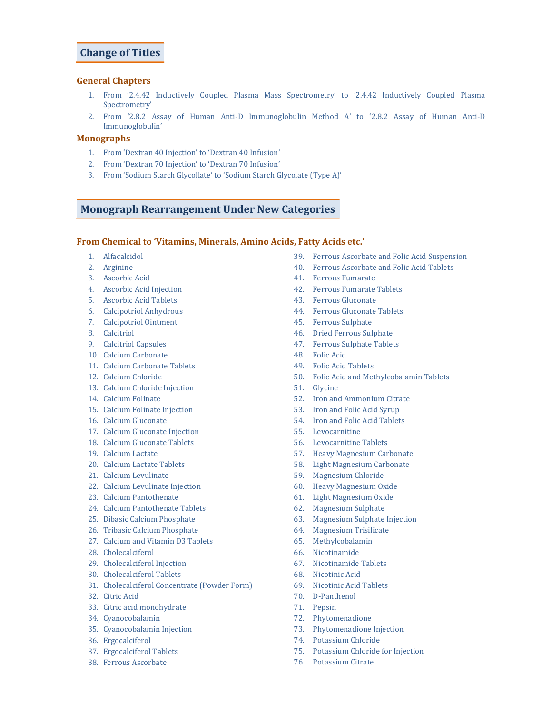## Change of Titles

#### General Chapters

- 1. From '2.4.42 Inductively Coupled Plasma Mass Spectrometry' to '2.4.42 Inductively Coupled Plasma Spectrometry'
- 2. From '2.8.2 Assay of Human Anti-D Immunoglobulin Method A' to '2.8.2 Assay of Human Anti-D Immunoglobulin'

## Monographs

- 1. From 'Dextran 40 Injection' to 'Dextran 40 Infusion'
- 2. From 'Dextran 70 Injection' to 'Dextran 70 Infusion'
- 3. From 'Sodium Starch Glycollate' to 'Sodium Starch Glycolate (Type A)'

## Monograph Rearrangement Under New Categories

#### From Chemical to 'Vitamins, Minerals, Amino Acids, Fatty Acids etc.'

- 1. Alfacalcidol
- 2. Arginine
- 3. Ascorbic Acid
- 4. Ascorbic Acid Injection
- 5. Ascorbic Acid Tablets
- 6. Calcipotriol Anhydrous
- 7. Calcipotriol Ointment
- 8. Calcitriol
- 9. Calcitriol Capsules
- 10. Calcium Carbonate
- 11. Calcium Carbonate Tablets
- 12. Calcium Chloride
- 13. Calcium Chloride Injection
- 14. Calcium Folinate
- 15. Calcium Folinate Injection
- 16. Calcium Gluconate
- 17. Calcium Gluconate Injection
- 18. Calcium Gluconate Tablets
- 19. Calcium Lactate
- 20. Calcium Lactate Tablets
- 21. Calcium Levulinate
- 22. Calcium Levulinate Injection
- 23. Calcium Pantothenate
- 24. Calcium Pantothenate Tablets
- 25. Dibasic Calcium Phosphate
- 26. Tribasic Calcium Phosphate
- 27. Calcium and Vitamin D3 Tablets
- 28. Cholecalciferol
- 29. Cholecalciferol Injection
- 30. Cholecalciferol Tablets
- 31. Cholecalciferol Concentrate (Powder Form)
- 32. Citric Acid
- 33. Citric acid monohydrate
- 34. Cyanocobalamin
- 35. Cyanocobalamin Injection
- 36. Ergocalciferol
- 37. Ergocalciferol Tablets
- 38. Ferrous Ascorbate
- 39. Ferrous Ascorbate and Folic Acid Suspension
- 40. Ferrous Ascorbate and Folic Acid Tablets
- 41. Ferrous Fumarate
- 
- 
- 
- 45. Ferrous Sulphate
- 46. Dried Ferrous Sulphate
- 47. Ferrous Sulphate Tablets
- 48. Folic Acid
- 49. Folic Acid Tablets
- 
- 
- 52. Iron and Ammonium Citrate
- 53. Iron and Folic Acid Syrup
- 54. Iron and Folic Acid Tablets
- 55. Levocarnitine
- 56. Levocarnitine Tablets
- 57. Heavy Magnesium Carbonate
- 58. Light Magnesium Carbonate
- 59. Magnesium Chloride
- 60. Heavy Magnesium Oxide
- 61. Light Magnesium Oxide
- 62. Magnesium Sulphate
- 63. Magnesium Sulphate Injection
- 64. Magnesium Trisilicate
- 65. Methylcobalamin
- 66. Nicotinamide
- 67. Nicotinamide Tablets
- 68. Nicotinic Acid
- 69. Nicotinic Acid Tablets
- 70. D-Panthenol
- 71. Pepsin
- 72. Phytomenadione
- 73. Phytomenadione Injection
- 74. Potassium Chloride
- 75. Potassium Chloride for Injection
- 76. Potassium Citrate
- 
- 
- 42. Ferrous Fumarate Tablets
- 43. Ferrous Gluconate
- 44. Ferrous Gluconate Tablets
- 
- 
- 
- 
- 
- 50. Folic Acid and Methylcobalamin Tablets
- 51. Glycine